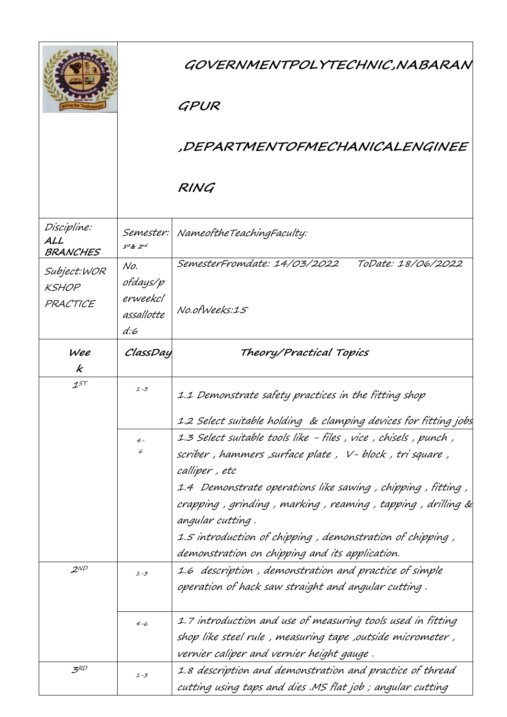|                                         |                                                  | GOVERNMENTPOLYTECHNIC,NABARAN<br>GPUR                                                                                                                                                                                                                                                                                                          |
|-----------------------------------------|--------------------------------------------------|------------------------------------------------------------------------------------------------------------------------------------------------------------------------------------------------------------------------------------------------------------------------------------------------------------------------------------------------|
|                                         |                                                  | ,DEPARTMENTOFMECHANICALENGINEE                                                                                                                                                                                                                                                                                                                 |
|                                         |                                                  | RING                                                                                                                                                                                                                                                                                                                                           |
| Discipline:<br>ALL<br>BRANCHES          | Semester:<br>$1^{st}$ & $2^{nd}$                 | NameoftheTeachingFaculty:                                                                                                                                                                                                                                                                                                                      |
| Subject:WOR<br><b>KSHOP</b><br>PRACTICE | No.<br>ofdays/p<br>erweekcl<br>assallotte<br>d:6 | SemesterFromdate: 14/03/2022<br>ToDate: 18/06/2022<br>No.ofWeeks:15                                                                                                                                                                                                                                                                            |
| Wee<br>k                                | ClassDay                                         | Theory/Practical Topics                                                                                                                                                                                                                                                                                                                        |
| $1^{ST}$                                | $1 - 3$<br>$4-$<br>6                             | 1.1 Demonstrate safety practices in the fitting shop<br>1.2 Select suitable holding & clamping devices for fitting jobs<br>1.3 Select suitable tools like - files , vice , chisels , punch ,                                                                                                                                                   |
|                                         |                                                  | scriber , hammers ,surface plate ,  V- block , tri square ,<br>calliper, etc<br>1.4 Demonstrate operations like sawing , chipping , fitting ,<br>crapping, grinding, marking, reaming, tapping, drilling &<br>angular cutting.<br>1.5 introduction of chipping , demonstration of chipping ,<br>demonstration on chipping and its application. |
| $2^{ND}$                                | $1 - 3$                                          | 1.6 description, demonstration and practice of simple<br>operation of hack saw straight and angular cutting .                                                                                                                                                                                                                                  |
|                                         | $4 - 6$                                          | 1.7 introduction and use of measuring tools used in fitting<br>shop like steel rule , measuring tape ,outside micrometer ,<br>vernier caliper and vernier height gauge .                                                                                                                                                                       |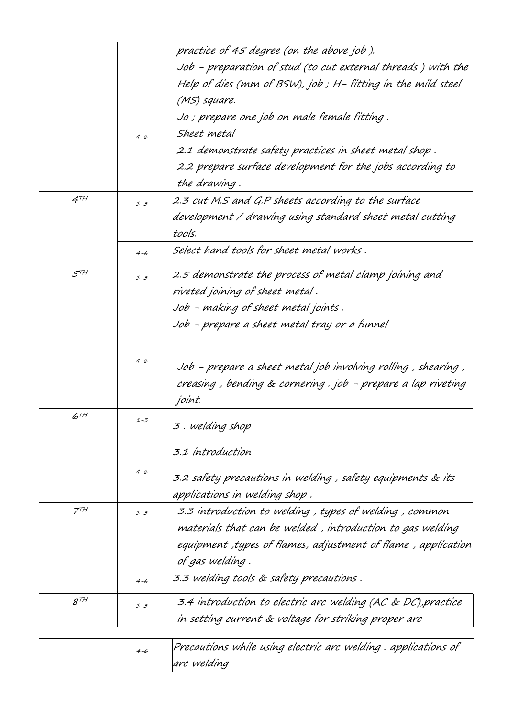|                 |         | practice of 45 degree (on the above job ).                     |
|-----------------|---------|----------------------------------------------------------------|
|                 |         | Job - preparation of stud (to cut external threads ) with the  |
|                 |         | Help of dies (mm of BSW), job ; H- fitting in the mild steel   |
|                 |         | (MS) square.                                                   |
|                 |         | Jo ; prepare one job on male female fitting .                  |
|                 | $4 - 6$ | Sheet metal                                                    |
|                 |         | 2.1 demonstrate safety practices in sheet metal shop .         |
|                 |         | 2.2 prepare surface development for the jobs according to      |
|                 |         | the drawing.                                                   |
| $4^{TH}$        | $1 - 3$ | 2.3 cut M.S and G.P sheets according to the surface            |
|                 |         | development / drawing using standard sheet metal cutting       |
|                 |         | tools.                                                         |
|                 | $4 - 6$ | Select hand tools for sheet metal works .                      |
| $5^{TH}$        | $1 - 3$ | 2.5 demonstrate the process of metal clamp joining and         |
|                 |         | riveted joining of sheet metal .                               |
|                 |         | Job - making of sheet metal joints .                           |
|                 |         | Job - prepare a sheet metal tray or a funnel                   |
|                 |         |                                                                |
|                 | $4 - 6$ | Job - prepare a sheet metal job involving rolling , shearing , |
|                 |         | creasing , bending & cornering . job - prepare a lap riveting  |
|                 |         | joint.                                                         |
| $6^{TH}$        | 1-3     |                                                                |
|                 |         | 3 . welding shop                                               |
|                 |         | 3.1 introduction                                               |
|                 | $4 - 6$ |                                                                |
|                 |         | 3.2 safety precautions in welding , safety equipments & its    |
|                 |         | applications in welding shop .                                 |
| 7 <sup>TH</sup> | $1 - 3$ | 3.3 introduction to welding, types of welding, common          |
|                 |         | materials that can be welded , introduction to gas welding     |
|                 |         | equipment ,types of flames, adjustment of flame , application  |
|                 |         | of gas welding.                                                |
|                 | $4 - 6$ | 3.3 welding tools & safety precautions .                       |
| $8^{7H}$        | $1 - 3$ | 3.4 introduction to electric arc welding (AC & DC), practice   |
|                 |         | in setting current & voltage for striking proper arc           |
|                 |         |                                                                |

|  | Precautions while using electric arc welding. applications of |
|--|---------------------------------------------------------------|
|  | arc welding                                                   |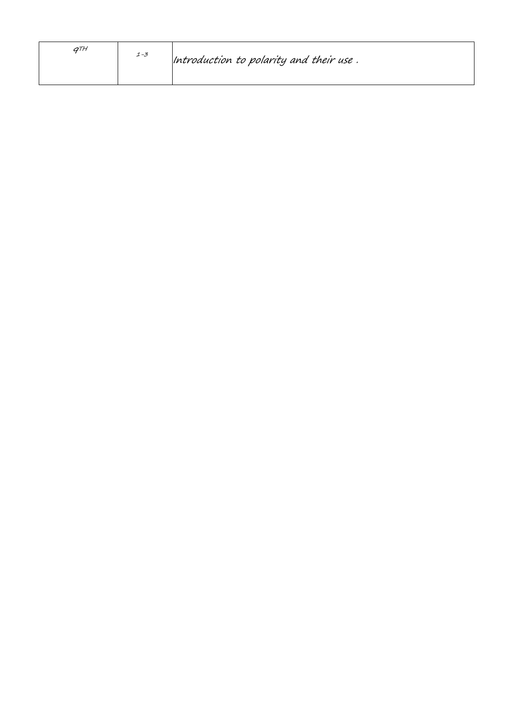| <b>ATH</b> | $1 - 3$ | Introduction to polarity and their use. |
|------------|---------|-----------------------------------------|
|            |         |                                         |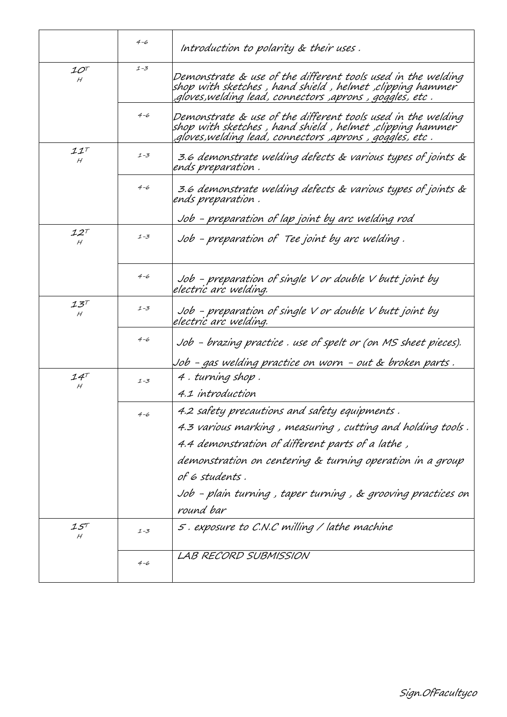|                                             | $4 - 6$ | Introduction to polarity & their uses.                                                                                                                                                                                                                                                                                        |
|---------------------------------------------|---------|-------------------------------------------------------------------------------------------------------------------------------------------------------------------------------------------------------------------------------------------------------------------------------------------------------------------------------|
| $\mathcal{1}O^{T}$<br>Н                     | $1 - 3$ | Demonstrate & use of the different tools used in the welding<br>shop with sketches , hand shield , helmet ,clipping hammer ً<br>, gloves,welding lead, connectors ,aprons , goggles, etc,                                                                                                                                     |
|                                             | $4 - 6$ | Demonstrate & use of the different tools used in the welding<br>shop with sketches , hand shield , helmet ,clipping hammer<br>, gloves,welding lead, connectors ,aprons , goggles, etc,                                                                                                                                       |
| III<br>H                                    | $1 - 3$ | 3.6 demonstrate welding defects & various types of joints &<br>ends preparation.                                                                                                                                                                                                                                              |
|                                             | $4 - 6$ | 3.6 demonstrate welding defects & various types of joints &<br>ends preparation .<br><u>Job - preparation of lap joint by arc welding rod</u>                                                                                                                                                                                 |
| $12^{\tau}$<br>H                            | $1 - 3$ | Job - preparation of Tee joint by arc welding.                                                                                                                                                                                                                                                                                |
|                                             | $4 - 6$ | Job - preparation of single V or double V butt joint by<br>electric arc welding.                                                                                                                                                                                                                                              |
| $\mathcal{I}\mathcal{Z}^{\mathcal{T}}$<br>H | $1 - 3$ | Job - preparation of single $V$ or double $V$ butt joint by<br>electric arc welding.                                                                                                                                                                                                                                          |
|                                             | $4 - 6$ | Job - brazing practice . use of spelt or (on MS sheet pieces).<br>Job - gas welding practice on worn - out & broken parts .                                                                                                                                                                                                   |
| $14^{\tau}$<br>Н                            | $1 - 3$ | 4. turning shop.<br>4.1 introduction                                                                                                                                                                                                                                                                                          |
|                                             | $4 - 6$ | 4.2 safety precautions and safety equipments.<br>4.3 various marking, measuring, cutting and holding tools.<br>4.4 demonstration of different parts of a lathe,<br>demonstration on centering & turning operation in a group<br>of 6 students .<br>Job - plain turning , taper turning , & grooving practices on<br>round bar |
| 15T<br>Н                                    | $1 - 3$ | 5. exposure to C.N.C milling / lathe machine                                                                                                                                                                                                                                                                                  |
|                                             | $4 - 6$ | LAB RECORD SUBMISSION                                                                                                                                                                                                                                                                                                         |